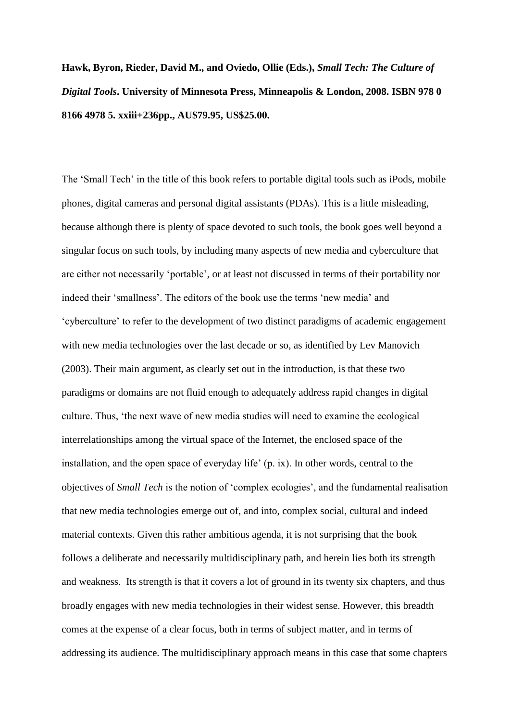**Hawk, Byron, Rieder, David M., and Oviedo, Ollie (Eds.),** *Small Tech: The Culture of Digital Tools***. University of Minnesota Press, Minneapolis & London, 2008. ISBN 978 0 8166 4978 5. xxiii+236pp., AU\$79.95, US\$25.00.**

The 'Small Tech' in the title of this book refers to portable digital tools such as iPods, mobile phones, digital cameras and personal digital assistants (PDAs). This is a little misleading, because although there is plenty of space devoted to such tools, the book goes well beyond a singular focus on such tools, by including many aspects of new media and cyberculture that are either not necessarily 'portable', or at least not discussed in terms of their portability nor indeed their 'smallness'. The editors of the book use the terms 'new media' and 'cyberculture' to refer to the development of two distinct paradigms of academic engagement with new media technologies over the last decade or so, as identified by Lev Manovich (2003). Their main argument, as clearly set out in the introduction, is that these two paradigms or domains are not fluid enough to adequately address rapid changes in digital culture. Thus, 'the next wave of new media studies will need to examine the ecological interrelationships among the virtual space of the Internet, the enclosed space of the installation, and the open space of everyday life' (p. ix). In other words, central to the objectives of *Small Tech* is the notion of 'complex ecologies', and the fundamental realisation that new media technologies emerge out of, and into, complex social, cultural and indeed material contexts. Given this rather ambitious agenda, it is not surprising that the book follows a deliberate and necessarily multidisciplinary path, and herein lies both its strength and weakness. Its strength is that it covers a lot of ground in its twenty six chapters, and thus broadly engages with new media technologies in their widest sense. However, this breadth comes at the expense of a clear focus, both in terms of subject matter, and in terms of addressing its audience. The multidisciplinary approach means in this case that some chapters